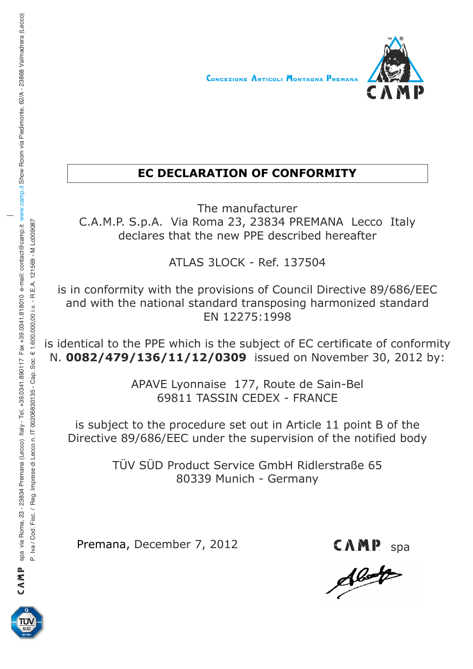

## **EC DECLARATION OF CONFORMITY**

The manufacturer C.A.M.P. S.p.A. Via Roma 23, 23834 PREMANA Lecco Italy declares that the new PPE described hereafter

ATLAS 3LOCK - Ref. 137504

is in conformity with the provisions of Council Directive 89/686/EEC and with the national standard transposing harmonized standard EN 12275:1998

is identical to the PPE which is the subject of EC certificate of conformity N. **0082/479/136/11/12/0309** issued on November 30, 2012 by:

> APAVE Lyonnaise 177, Route de Sain-Bel 69811 TASSIN CEDEX - FRANCE

is subject to the procedure set out in Article 11 point B of the Directive 89/686/EEC under the supervision of the notified body

> TÜV SÜD Product Service GmbH Ridlerstraße 65 80339 Munich - Germany

Premana, December 7, 2012

CAMP<sub>s</sub>



P. IVa Fisc. / Reg. In P. IV. - R. E.A. 121563 - Cap. Soc. € 1.6000,000,000 i. IT 0030 i.v. - R. E.A. 121569 - M Leo V Va Liv. - R. E.A. 121569